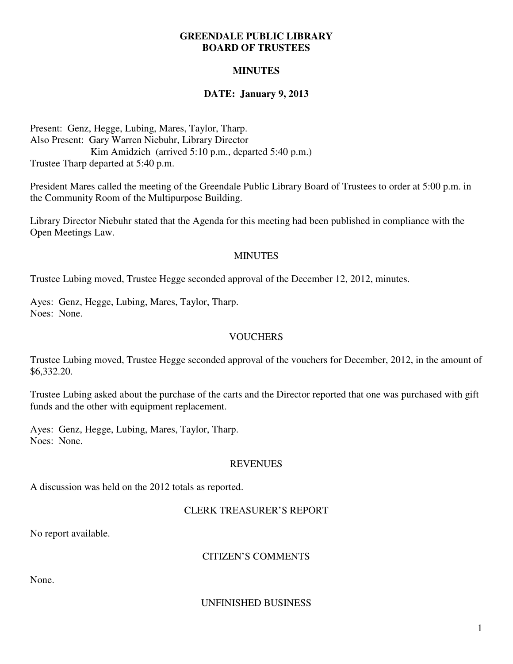### **GREENDALE PUBLIC LIBRARY BOARD OF TRUSTEES**

# **MINUTES**

# **DATE: January 9, 2013**

Present: Genz, Hegge, Lubing, Mares, Taylor, Tharp. Also Present: Gary Warren Niebuhr, Library Director Kim Amidzich (arrived 5:10 p.m., departed 5:40 p.m.) Trustee Tharp departed at 5:40 p.m.

President Mares called the meeting of the Greendale Public Library Board of Trustees to order at 5:00 p.m. in the Community Room of the Multipurpose Building.

Library Director Niebuhr stated that the Agenda for this meeting had been published in compliance with the Open Meetings Law.

### MINUTES

Trustee Lubing moved, Trustee Hegge seconded approval of the December 12, 2012, minutes.

Ayes: Genz, Hegge, Lubing, Mares, Taylor, Tharp. Noes: None.

### **VOUCHERS**

Trustee Lubing moved, Trustee Hegge seconded approval of the vouchers for December, 2012, in the amount of \$6,332.20.

Trustee Lubing asked about the purchase of the carts and the Director reported that one was purchased with gift funds and the other with equipment replacement.

Ayes: Genz, Hegge, Lubing, Mares, Taylor, Tharp. Noes: None.

### REVENUES

A discussion was held on the 2012 totals as reported.

### CLERK TREASURER'S REPORT

No report available.

### CITIZEN'S COMMENTS

None.

### UNFINISHED BUSINESS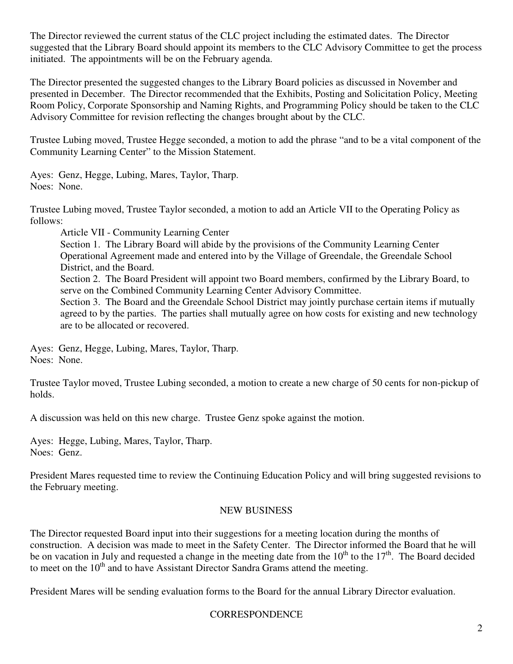The Director reviewed the current status of the CLC project including the estimated dates. The Director suggested that the Library Board should appoint its members to the CLC Advisory Committee to get the process initiated. The appointments will be on the February agenda.

The Director presented the suggested changes to the Library Board policies as discussed in November and presented in December. The Director recommended that the Exhibits, Posting and Solicitation Policy, Meeting Room Policy, Corporate Sponsorship and Naming Rights, and Programming Policy should be taken to the CLC Advisory Committee for revision reflecting the changes brought about by the CLC.

Trustee Lubing moved, Trustee Hegge seconded, a motion to add the phrase "and to be a vital component of the Community Learning Center" to the Mission Statement.

Ayes: Genz, Hegge, Lubing, Mares, Taylor, Tharp. Noes: None.

Trustee Lubing moved, Trustee Taylor seconded, a motion to add an Article VII to the Operating Policy as follows:

Article VII - Community Learning Center Section 1. The Library Board will abide by the provisions of the Community Learning Center Operational Agreement made and entered into by the Village of Greendale, the Greendale School District, and the Board.

Section 2. The Board President will appoint two Board members, confirmed by the Library Board, to serve on the Combined Community Learning Center Advisory Committee.

Section 3. The Board and the Greendale School District may jointly purchase certain items if mutually agreed to by the parties. The parties shall mutually agree on how costs for existing and new technology are to be allocated or recovered.

Ayes: Genz, Hegge, Lubing, Mares, Taylor, Tharp. Noes: None.

Trustee Taylor moved, Trustee Lubing seconded, a motion to create a new charge of 50 cents for non-pickup of holds.

A discussion was held on this new charge. Trustee Genz spoke against the motion.

Ayes: Hegge, Lubing, Mares, Taylor, Tharp. Noes: Genz.

President Mares requested time to review the Continuing Education Policy and will bring suggested revisions to the February meeting.

# NEW BUSINESS

The Director requested Board input into their suggestions for a meeting location during the months of construction. A decision was made to meet in the Safety Center. The Director informed the Board that he will be on vacation in July and requested a change in the meeting date from the  $10^{th}$  to the  $17^{th}$ . The Board decided to meet on the  $10<sup>th</sup>$  and to have Assistant Director Sandra Grams attend the meeting.

President Mares will be sending evaluation forms to the Board for the annual Library Director evaluation.

# **CORRESPONDENCE**